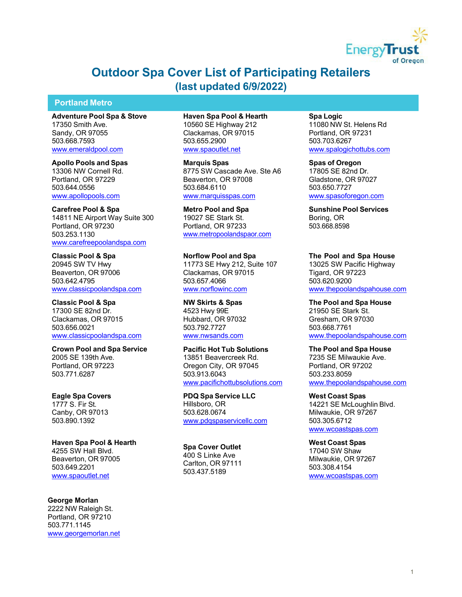

# **Outdoor Spa Cover List of Participating Retailers (last updated 6/9/2022)**

# **Portland Metro**

**Adventure Pool Spa & Stove** 17350 Smith Ave. Sandy, OR 97055 503.668.7593 [www.emeraldpool.com](http://www.emeraldpool.com/)

**Apollo Pools and Spas**  13306 NW Cornell Rd. Portland, OR 97229 503.644.0556 [www.apollopools.com](http://www.apollopools.com/)

**Carefree Pool & Spa** 14811 NE Airport Way Suite 300 Portland, OR 97230 503.253.1130 [www.carefreepoolandspa.com](http://www.carefreepoolandspa.com/)

**Classic Pool & Spa** 20945 SW TV Hwy Beaverton, OR 97006 503.642.4795 [www.classicpoolandspa.com](http://www.classicpoolandspa.com/)

**Classic Pool & Spa** 17300 SE 82nd Dr. Clackamas, OR 97015 503.656.0021 [www.classicpoolandspa.com](http://www.classicpoolandspa.com/)

**Crown Pool and Spa Service** 2005 SE 139th Ave. Portland, OR 97223 503.771.6287

**Eagle Spa Covers** 1777 S. Fir St. Canby, OR 97013 503.890.1392

**Haven Spa Pool & Hearth** 4255 SW Hall Blvd. Beaverton, OR 97005 503.649.2201 [www.spaoutlet.net](http://www.spaoutlet.net/)

**George Morlan**  2222 NW Raleigh St. Portland, OR 97210 503.771.1145 [www.georgemorlan.net](http://www.georgemorlan.net/) **Haven Spa Pool & Hearth** 10560 SE Highway 212 Clackamas, OR 97015 503.655.2900 [www.spaoutlet.net](http://www.spaoutlet.net/)

**Marquis Spas** 8775 SW Cascade Ave. Ste A6 Beaverton, OR 97008 503.684.6110 [www.marquisspas.com](http://www.marquisspas.com/)

**Metro Pool and Spa** 19027 SE Stark St. Portland, OR 97233 [www.metropoolandspaor.com](http://www.metropoolandspaor.com/)

**Norflow Pool and Spa** 11773 SE Hwy 212, Suite 107 Clackamas, OR 97015 503.657.4066 [www.norflowinc.com](http://www.norflowinc.com/)

**NW Skirts & Spas** 4523 Hwy 99E Hubbard, OR 97032 503.792.7727 [www.nwsands.com](http://www.nwsands.com/)

**Pacific Hot Tub Solutions** 13851 Beavercreek Rd. Oregon City, OR 97045 503.913.6043 [www.pacifichottubsolutions.com](http://www.pacifichottubsolutions.com/)

**PDQ Spa Service LLC**  Hillsboro, OR 503.628.0674 [www.pdqspaservicellc.com](http://www.pdqspaservicellc.com/)

**Spa Cover Outlet**  400 S Linke Ave Carlton, OR 97111 503.437.5189

**Spa Logic** 11080 NW St. Helens Rd Portland, OR 97231 503.703.6267 [www.spalogichottubs.com](http://www.spalogichottubs.com/)

**Spas of Oregon** 17805 SE 82nd Dr. Gladstone, OR 97027 503.650.7727 [www.spasoforegon.com](http://www.spasoforegon.com/)

**Sunshine Pool Services** Boring, OR 503.668.8598

**The Pool and Spa House**  13025 SW Pacific Highway Tigard, OR 97223 503.620.9200 [www.thepoolandspahouse.com](http://www.thepoolandspahouse.com/)

**The Pool and Spa House** 21950 SE Stark St. Gresham, OR 97030 503.668.7761 [www.thepoolandspahouse.com](http://www.thepoolandspahouse.com/)

**The Pool and Spa House**  7235 SE Milwaukie Ave. Portland, OR 97202 503.233.8059 [www.thepoolandspahouse.com](http://www.thepoolandspahouse.com/)

**West Coast Spas** 14221 SE McLoughlin Blvd. Milwaukie, OR 97267 503.305.6712 [www.wcoastspas.com](http://www.wcoastspas.com/)

**West Coast Spas** 17040 SW Shaw Milwaukie, OR 97267 503.308.4154 [www.wcoastspas.com](http://www.wcoastspas.com/)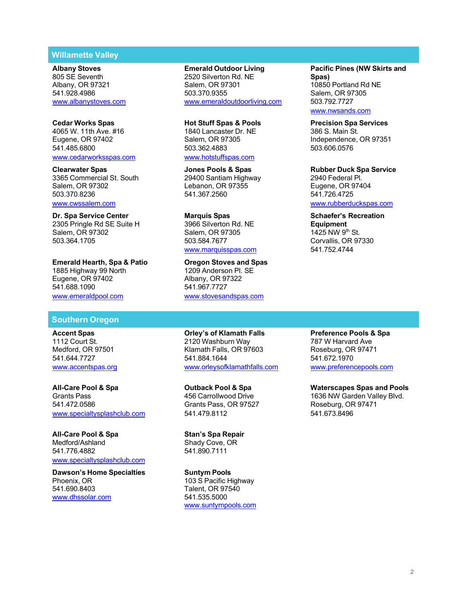# **Willamette Valley**

3365 Commercial St. South 29400 Santiam Highway 2940 Santiam Highway 29400 Santiam Highway 2016 Federal Pl. Salem, OR 97302 Lebanon, OR 97355 Eugene, OR 97404 503.370.8236 541.367.2560 541.726.4725

2305 Pringle Rd SE Suite H 3966 Silverton Rd. NE **Equipment** Salem, OR 97302 Salem, OR 97305<br>503.364.1705 1425 1425 1425 1425 1426 1427 1425 1426 1427

1885 Highway 99 North 1209 Anderson Pl. SE Eugene, OR 97402 Albany, OR 97<br>541.688.1090 541.967.7727 541.688.1090 [www.emeraldpool.com](http://www.emeraldpool.com/) [www.stovesandspas.com](http://www.stovesandspas.com/)

# **Southern Oregon**

541.472.0586 Grants Pass, OR 97527 Roseburg, OR 97471 [www.specialtysplashclub.com](http://www.specialtysplashclub.com/) 541.479.8112 541.673.8496

**All-Care Pool & Spa Stan's Spa Repair** Medford/Ashland Shady Cove, OR<br>541.776.4882 541.890.7111 [www.specialtysplashclub.com](http://www.specialtysplashclub.com/)

**Dawson's Home Specialties**<br> **Phoenix, OR** 103 S Pacific H Phoenix, OR 103 S Pacific Highway<br>541.690.8403 103 S Talent, OR 97540 [www.dhssolar.com](http://www.dhssolar.com/)

**Albany Stoves Emerald Outdoor Living Pacific Pines (NW Skirts and 2520 Silverton Rd. NE** Albany, OR 97321 Salem, OR 97301 10850 Portland Rd NE 541.928.4986 503.370.9355 Salem, OR 97305 [www.albanystoves.com](http://www.albanystoves.com/) [www.emeraldoutdoorliving.com](http://www.emeraldoutdoorliving.com/) 503.792.7727

**Cedar Works Spas Hot Stuff Spas & Pools Precision Spa Services** 4065 W. 11th Ave. #16 1840 Lancaster Dr. NE 386 S. Main St. 541.485.6800 503.362.4883 503.606.0576 [www.cedarworksspas.com](http://www.cedarworksspas.com/) [www.hotstuffspas.com](http://www.hotstuffspas.com/)

**Dr. Spa Service Center**<br>
2305 Pringle Rd SE Suite H **Suite All Service States Canal Service States States Controller**<br>
2305 Pringle Rd SE Suite H 3966 Silverton Rd. NE **States States Controller** [www.marquisspas.com](http://www.marquisspas.com/) 541.752.4744

**Emerald Hearth, Spa & Patio Oregon Stoves and Spas**

**Accent Spas Orley's of Klamath Falls Preference Pools & Spa** 1112 Court St. 2120 Washburn Way 787 W Harvard Ave Klamath Falls, OR 97603 541.644.7727 541.884.1644 541.672.1970

541.890.7111

Talent, OR 97540<br>541.535.5000 [www.suntympools.com](http://www.suntympools.com/) [www.nwsands.com](http://www.nwsands.com/)

Eugene, OR 97402 Salem, OR 97305 Independence, OR 97351

**Clearwater Spas Jones Pools & Spas Rubber Duck Spa Service**

[www.rubberduckspas.com](http://www.rubberduckspas.com/)

Corvallis, OR 97330

[www.accentspas.org](http://www.accentspas.org/) [www.orleysofklamathfalls.com](http://www.orleysofklamathfalls.com/) [www.preferencepools.com](http://www.preferencepools.com/)

**All-Care Pool & Spa Outback Pool & Spa Waterscapes Spas and Pools** Grants Pass **168 Carrollwood Drive 1636 NW Garden Valley Blvd.** 456 Carrollwood Drive 1636 NW Garden Valley Blvd.